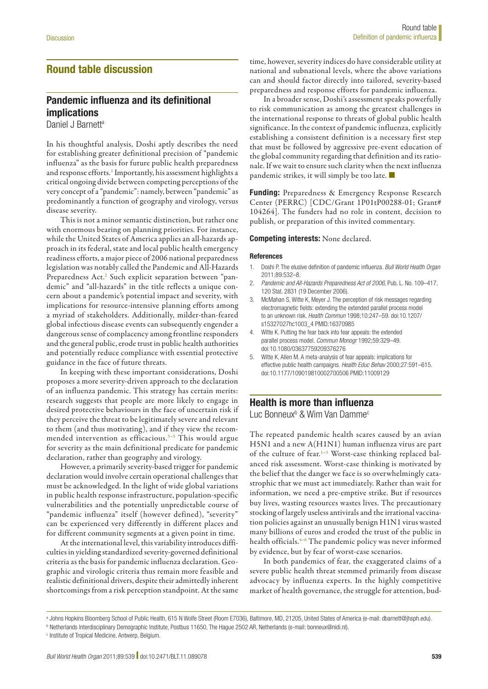## Round table discussion

# Pandemic influenza and its definitional implications

Daniel J Barnett<sup>a</sup>

In his thoughtful analysis, Doshi aptly describes the need for establishing greater definitional precision of "pandemic influenza" as the basis for future public health preparedness and response efforts.<sup>1</sup> Importantly, his assessment highlights a critical ongoing divide between competing perceptions of the very concept of a "pandemic": namely, between "pandemic" as predominantly a function of geography and virology, versus disease severity.

This is not a minor semantic distinction, but rather one with enormous bearing on planning priorities. For instance, while the United States of America applies an all-hazards approach in its federal, state and local public health emergency readiness efforts, a major piece of 2006 national preparedness legislation was notably called the Pandemic and All-Hazards Preparedness Act.<sup>[2](#page--1-1)</sup> Such explicit separation between "pandemic" and "all-hazards" in the title reflects a unique concern about a pandemic's potential impact and severity, with implications for resource-intensive planning efforts among a myriad of stakeholders. Additionally, milder-than-feared global infectious disease events can subsequently engender a dangerous sense of complacency among frontline responders and the general public, erode trust in public health authorities and potentially reduce compliance with essential protective guidance in the face of future threats.

In keeping with these important considerations, Doshi proposes a more severity-driven approach to the declaration of an influenza pandemic. This strategy has certain merits: research suggests that people are more likely to engage in desired protective behaviours in the face of uncertain risk if they perceive the threat to be legitimately severe and relevant to them (and thus motivating), and if they view the recom-mended intervention as efficacious.<sup>3-[5](#page--1-3)</sup> This would argue for severity as the main definitional predicate for pandemic declaration, rather than geography and virology.

However, a primarily severity-based trigger for pandemic declaration would involve certain operational challenges that must be acknowledged. In the light of wide global variations in public health response infrastructure, population-specific vulnerabilities and the potentially unpredictable course of "pandemic influenza" itself (however defined), "severity" can be experienced very differently in different places and for different community segments at a given point in time.

At the international level, this variability introduces difficulties in yielding standardized severity-governed definitional criteria as the basis for pandemic influenza declaration. Geographic and virologic criteria thus remain more feasible and realistic definitional drivers, despite their admittedly inherent shortcomings from a risk perception standpoint. At the same

time, however, severity indices do have considerable utility at national and subnational levels, where the above variations can and should factor directly into tailored, severity-based preparedness and response efforts for pandemic influenza.

In a broader sense, Doshi's assessment speaks powerfully to risk communication as among the greatest challenges in the international response to threats of global public health significance. In the context of pandemic influenza, explicitly establishing a consistent definition is a necessary first step that must be followed by aggressive pre-event education of the global community regarding that definition and its rationale. If we wait to ensure such clarity when the next influenza pandemic strikes, it will simply be too late. ■

Funding: Preparedness & Emergency Response Research Center (PERRC) [CDC/Grant 1P01tP00288-01; Grant# 104264]. The funders had no role in content, decision to publish, or preparation of this invited commentary.

### Competing interests: None declared.

#### References

- 1. Doshi P. The elusive definition of pandemic influenza. *Bull World Health Organ* 2011;89:532–8.
- 2. *Pandemic and All-Hazards Preparedness Act of 2006*, Pub. L. No. 109–417, 120 Stat. 2831 (19 December 2006).
- 3. McMahan S, Witte K, Meyer J. The perception of risk messages regarding electromagnetic fields: extending the extended parallel process model to an unknown risk. *Health Commun* 1998;10:247–59. doi:[10.1207/](http://dx.doi.org/10.1207/s15327027hc1003_4) [s15327027hc1003\\_4](http://dx.doi.org/10.1207/s15327027hc1003_4) PMID:[16370985](http://www.ncbi.nlm.nih.gov/pubmed/16370985)
- 4. Witte K. Putting the fear back into fear appeals: the extended parallel process model. *Commun Monogr* 1992;59:329–49. doi[:10.1080/03637759209376276](http://dx.doi.org/10.1080/03637759209376276)
- 5. Witte K, Allen M. A meta-analysis of fear appeals: implications for effective public health campaigns. *Health Educ Behav* 2000;27:591–615. doi[:10.1177/109019810002700506](http://dx.doi.org/10.1177/109019810002700506) PMID[:11009129](http://www.ncbi.nlm.nih.gov/pubmed/11009129)

## Health is more than influenza

Luc Bonneux<sup>b</sup> & Wim Van Damme<sup>c</sup>

The repeated pandemic health scares caused by an avian H5N1 and a new A(H1N1) human influenza virus are part of the culture of fear.<sup>1-[3](#page--1-2)</sup> Worst-case thinking replaced balanced risk assessment. Worst-case thinking is motivated by the belief that the danger we face is so overwhelmingly catastrophic that we must act immediately. Rather than wait for information, we need a pre-emptive strike. But if resources buy lives, wasting resources wastes lives. The precautionary stocking of largely useless antivirals and the irrational vaccination policies against an unusually benign H1N1 virus wasted many billions of euros and eroded the trust of the public in health officials.<sup>4-6</sup> The pandemic policy was never informed by evidence, but by fear of worst-case scenarios.

In both pandemics of fear, the exaggerated claims of a severe public health threat stemmed primarily from disease advocacy by influenza experts. In the highly competitive market of health governance, the struggle for attention, bud-

a Johns Hopkins Bloomberg School of Public Health, 615 N Wolfe Street (Room E7036), Baltimore, MD, 21205, United States of America (e-mail: dbarnett@jhsph.edu).

b Netherlands Interdisciplinary Demographic Institute, Postbus 11650, The Hague 2502 AR, Netherlands (e-mail: bonneux@nidi.nl).

c Institute of Tropical Medicine, Antwerp, Belgium.